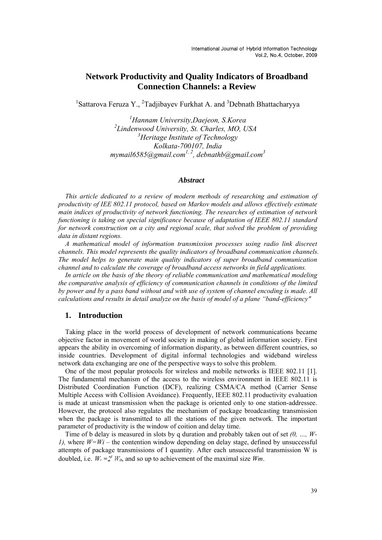# **Network Productivity and Quality Indicators of Broadband Connection Channels: a Review**

<sup>1</sup>Sattarova Feruza Y., <sup>2</sup>Tadjibayev Furkhat A. and <sup>3</sup>Debnath Bhattacharyya

*1 Hannam University,Daejeon, S.Korea 2 Lindenwood University, St. Charles, MO, USA 3 Heritage Institute of Technology Kolkata-700107, India mymail6585@gmail.com1, 2, debnathb@gmail.com3*

## *Abstract*

*This article dedicated to a review of modern methods of researching and estimation of productivity of IEE 802.11 protocol, based on Markov models and allows effectively estimate main indices of productivity of network functioning. The researches of estimation of network functioning is taking on special significance because of adaptation of IEEE 802.11 standard for network construction on a city and regional scale, that solved the problem of providing data in distant regions.* 

*A mathematical model of information transmission processes using radio link discreet channels. This model represents the quality indicators of broadband communication channels. The model helps to generate main quality indicators of super broadband communication channel and to calculate the coverage of broadband access networks in field applications.* 

*In article on the basis of the theory of reliable communication and mathematical modeling the comparative analysis of efficiency of communication channels in conditions of the limited by power and by a pass band without and with use of system of channel encoding is made. All calculations and results in detail analyze on the basis of model of a plane "band-efficiency"* 

## **1. Introduction**

Taking place in the world process of development of network communications became objective factor in movement of world society in making of global information society. First appears the ability in overcoming of information disparity, as between different countries, so inside countries. Development of digital informal technologies and wideband wireless network data exchanging are one of the perspective ways to solve this problem.

One of the most popular protocols for wireless and mobile networks is IEEE 802.11 [1]. The fundamental mechanism of the access to the wireless environment in IEEE 802.11 is Distributed Coordination Function (DCF), realizing CSMA/CA method (Carrier Sense Multiple Access with Collision Avoidance). Frequently, IEEE 802.11 productivity evaluation is made at unicast transmission when the package is oriented only to one station-addressee. However, the protocol also regulates the mechanism of package broadcasting transmission when the package is transmitted to all the stations of the given network. The important parameter of productivity is the window of coition and delay time.

Time of b delay is measured in slots by q duration and probably taken out of set *(0, …, W-1),* where  $W=Wi$  – the contention window depending on delay stage, defined by unsuccessful attempts of package transmissions of I quantity. After each unsuccessful transmission W is doubled, i.e.  $W_i = 2^i W_0$ , and so up to achievement of the maximal size *Wm*.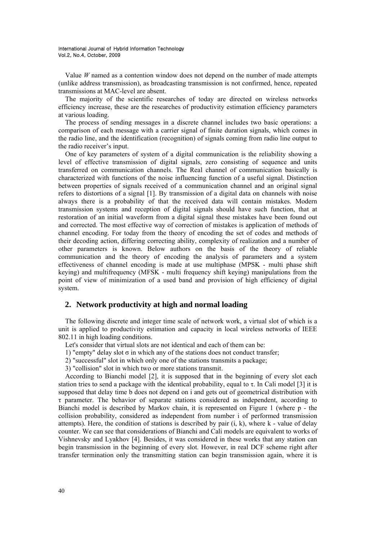Value *W* named as a contention window does not depend on the number of made attempts (unlike address transmission), as broadcasting transmission is not confirmed, hence, repeated transmissions at MAC-level are absent.

The majority of the scientific researches of today are directed on wireless networks efficiency increase, these are the researches of productivity estimation efficiency parameters at various loading.

The process of sending messages in a discrete channel includes two basic operations: a comparison of each message with a carrier signal of finite duration signals, which comes in the radio line, and the identification (recognition) of signals coming from radio line output to the radio receiver's input.

One of key parameters of system of a digital communication is the reliability showing a level of effective transmission of digital signals, zero consisting of sequence and units transferred on communication channels. The Real channel of communication basically is characterized with functions of the noise influencing function of a useful signal. Distinction between properties of signals received of a communication channel and an original signal refers to distortions of a signal [1]. By transmission of a digital data on channels with noise always there is a probability of that the received data will contain mistakes. Modern transmission systems and reception of digital signals should have such function, that at restoration of an initial waveform from a digital signal these mistakes have been found out and corrected. The most effective way of correction of mistakes is application of methods of channel encoding. For today from the theory of encoding the set of codes and methods of their decoding action, differing correcting ability, complexity of realization and a number of other parameters is known. Below authors on the basis of the theory of reliable communication and the theory of encoding the analysis of parameters and a system effectiveness of channel encoding is made at use multiphase (MPSK - multi phase shift keying) and multifrequency (MFSK - multi frequency shift keying) manipulations from the point of view of minimization of a used band and provision of high efficiency of digital system.

## **2. Network productivity at high and normal loading**

The following discrete and integer time scale of network work, a virtual slot of which is a unit is applied to productivity estimation and capacity in local wireless networks of IEEE 802.11 in high loading conditions.

Let's consider that virtual slots are not identical and each of them can be:

1) "empty" delay slot  $\sigma$  in which any of the stations does not conduct transfer;

- 2) "successful" slot in which only one of the stations transmits a package;
- 3) "collision" slot in which two or more stations transmit.

According to Bianchi model [2], it is supposed that in the beginning of every slot each station tries to send a package with the identical probability, equal to  $\tau$ . In Cali model [3] it is supposed that delay time b does not depend on i and gets out of geometrical distribution with τ parameter. The behavior of separate stations considered as independent, according to Bianchi model is described by Markov chain, it is represented on Figure 1 (where p - the collision probability, considered as independent from number i of performed transmission attempts). Here, the condition of stations is described by pair  $(i, k)$ , where  $k$  - value of delay counter. We can see that considerations of Bianchi and Cali models are equivalent to works of Vishnevsky and Lyakhov [4]. Besides, it was considered in these works that any station can begin transmission in the beginning of every slot. However, in real DCF scheme right after transfer termination only the transmitting station can begin transmission again, where it is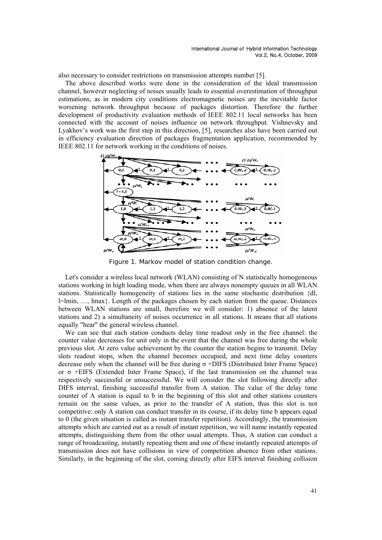also necessary to consider restrictions on transmission attempts number [5].

The above described works were done in the consideration of the ideal transmission channel, however neglecting of noises usually leads to essential overestimation of throughput estimations, as in modern city conditions electromagnetic noises are the inevitable factor worsening network throughput because of packages distortion. Therefore the further development of productivity evaluation methods of IEEE 802.11 local networks has been connected with the account of noises influence on network throughput. Vishnevsky and Lyakhov's work was the first step in this direction, [5], researches also have been carried out in efficiency evaluation direction of packages fragmentation application, recommended by IEEE 802.11 for network working in the conditions of noises.



Figure 1. Markov model of station condition change.

Let's consider a wireless local network (WLAN) consisting of N statistically homogeneous stations working in high loading mode, when there are always nonempty queues in all WLAN stations. Statistically homogeneity of stations lies in the same stochastic distribution {dl, l=lmin, …, lmax}. Length of the packages chosen by each station from the queue. Distances between WLAN stations are small, therefore we will consider: 1) absence of the latent stations and 2) a simultaneity of noises occurrence in all stations. It means that all stations equally "hear" the general wireless channel.

We can see that each station conducts delay time readout only in the free channel: the counter value decreases for unit only in the event that the channel was free during the whole previous slot. At zero value achievement by the counter the station begins to transmit. Delay slots readout stops, when the channel becomes occupied, and next time delay counters decrease only when the channel will be free during σ +DIFS (Distributed Inter Frame Space) or σ +EIFS (Extended Inter Frame Space), if the last transmission on the channel was respectively successful or unsuccessful. We will consider the slot following directly after DIFS interval, finishing successful transfer from A station. The value of the delay time counter of A station is equal to b in the beginning of this slot and other stations counters remain on the same values, as prior to the transfer of A station, thus this slot is not competitive: only A station can conduct transfer in its course, if its delay time b appears equal to 0 (the given situation is called as instant transfer repetition). Accordingly, the transmission attempts which are carried out as a result of instant repetition, we will name instantly repeated attempts, distinguishing them from the other usual attempts. Thus, A station can conduct a range of broadcasting, instantly repeating them and one of these instantly repeated attempts of transmission does not have collisions in view of competition absence from other stations. Similarly, in the beginning of the slot, coming directly after EIFS interval finishing collision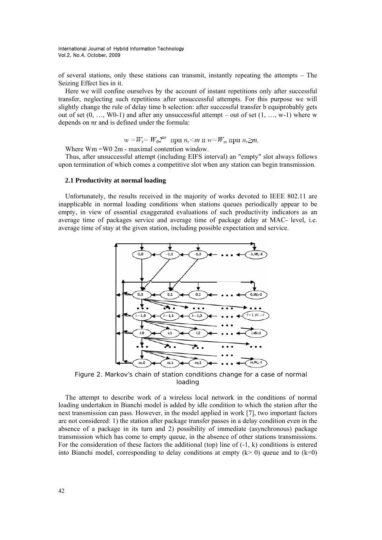of several stations, only these stations can transmit, instantly repeating the attempts – The Seizing Effect lies in it.

Here we will confine ourselves by the account of instant repetitions only after successful transfer, neglecting such repetitions after unsuccessful attempts. For this purpose we will slightly change the rule of delay time b selection: after successful transfer b equiprobably gets out of set  $(0, ..., W0-1)$  and after any unsuccessful attempt – out of set  $(1, ..., w-1)$  where w depends on nr and is defined under the formula:

$$
w = W_i = W_0 2^{nr}
$$
  $\text{при } n_r \le m$   $\text{u } w = W_m$   $\text{при } n_r \ge m$ ,

Where Wm =W0 2m - maximal contention window.

Thus, after unsuccessful attempt (including EIFS interval) an "empty" slot always follows upon termination of which comes a competitive slot when any station can begin transmission.

### **2.1 Productivity at normal loading**

Unfortunately, the results received in the majority of works devoted to IEEE 802.11 are inapplicable in normal loading conditions when stations queues periodically appear to be empty, in view of essential exaggerated evaluations of such productivity indicators as an average time of packages service and average time of package delay at MAC- level, i.e. average time of stay at the given station, including possible expectation and service.



Figure 2. Markov's chain of station conditions change for a case of normal loading

The attempt to describe work of a wireless local network in the conditions of normal loading undertaken in Bianchi model is added by idle condition to which the station after the next transmission can pass. However, in the model applied in work [7], two important factors are not considered: 1) the station after package transfer passes in a delay condition even in the absence of a package in its turn and 2) possibility of immediate (asynchronous) package transmission which has come to empty queue, in the absence of other stations transmissions. For the consideration of these factors the additional (top) line of  $(-1, k)$  conditions is entered into Bianchi model, corresponding to delay conditions at empty  $(k> 0)$  queue and to  $(k=0)$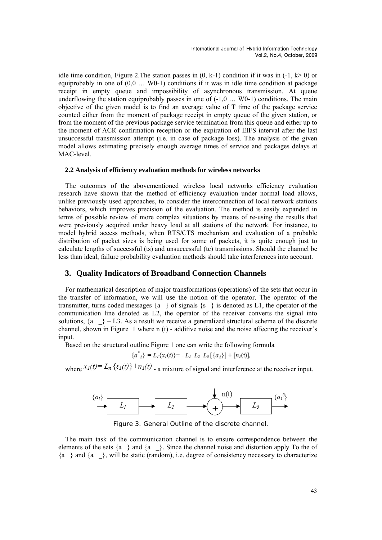idle time condition, Figure 2. The station passes in  $(0, k-1)$  condition if it was in  $(-1, k>0)$  or equiprobably in one of (0,0 … W0-1) conditions if it was in idle time condition at package receipt in empty queue and impossibility of asynchronous transmission. At queue underflowing the station equiprobably passes in one of  $(-1,0, \ldots, W_0-1)$  conditions. The main objective of the given model is to find an average value of T time of the package service counted either from the moment of package receipt in empty queue of the given station, or from the moment of the previous package service termination from this queue and either up to the moment of АСК confirmation reception or the expiration of EIFS interval after the last unsuccessful transmission attempt (i.e. in case of package loss). The analysis of the given model allows estimating precisely enough average times of service and packages delays at MAC-level.

### **2.2 Analysis of efficiency evaluation methods for wireless networks**

The outcomes of the abovementioned wireless local networks efficiency evaluation research have shown that the method of efficiency evaluation under normal load allows, unlike previously used approaches, to consider the interconnection of local network stations behaviors, which improves precision of the evaluation. The method is easily expanded in terms of possible review of more complex situations by means of re-using the results that were previously acquired under heavy load at all stations of the network. For instance, to model hybrid access methods, when RTS/CTS mechanism and evaluation of a probable distribution of packet sizes is being used for some of packets, it is quite enough just to calculate lengths of successful (ts) and unsuccessful (tc) transmissions. Should the channel be less than ideal, failure probability evaluation methods should take interferences into account.

## **3. Quality Indicators of Broadband Connection Channels**

For mathematical description of major transformations (operations) of the sets that occur in the transfer of information, we will use the notion of the operator. The operator of the transmitter, turns coded messages  $\{a\}$  of signals  $\{s\}$  is denoted as L1, the operator of the communication line denoted as L2, the operator of the receiver converts the signal into solutions,  $\{a\}$  – L3. As a result we receive a generalized structural scheme of the discrete channel, shown in Figure 1 where n  $(t)$  - additive noise and the noise affecting the receiver's input.

Based on the structural outline Figure 1 one can write the following formula

$$
\{a_{1}^{*}\}=L_{1}\{x_{I}(t)\}=-L_{1}L_{2}L_{3}[\{a_{1}\}]+[n_{I}(t)],
$$

where  $x_1(t) - L_a \{s_1(t)\} + n_1(t)$  – a mixture of signal and interference at the receiver input.



Figure 3. General Outline of the discrete channel.

The main task of the communication channel is to ensure correspondence between the elements of the sets  ${a \; |}$  and  ${a \; |}$ . Since the channel noise and distortion apply To the of  ${a}$  and  ${a}$ , will be static (random), i.e. degree of consistency necessary to characterize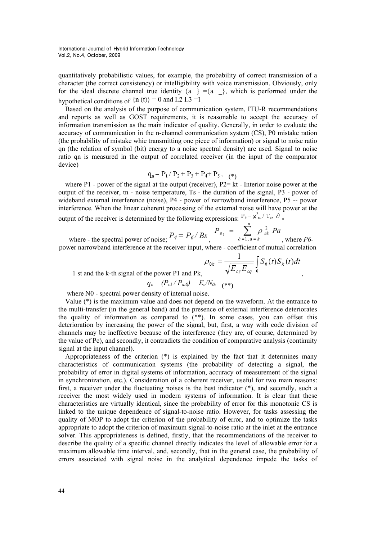quantitatively probabilistic values, for example, the probability of correct transmission of a character (the correct consistency) or intelligibility with voice transmission. Obviously, only for the ideal discrete channel true identity  $\{a\} = \{a\}$ , which is performed under the hypothetical conditions of  $\{n(t)\}=0$  and L2 L3 =1.

Based on the analysis of the purpose of communication system, ITU-R recommendations and reports as well as GOST requirements, it is reasonable to accept the accuracy of information transmission as the main indicator of quality. Generally, in order to evaluate the accuracy of communication in the n-channel communication system (CS), P0 mistake ration (the probability of mistake whie transmitting one piece of information) or signal to noise ratio qn (the relation of symbol (bit) energy to a noise spectral density) are used. Signal to noise ratio qn is measured in the output of correlated receiver (in the input of the comparator device)

$$
q_n = P_1 / P_2 + P_3 + P_4 + P_5, \quad (*)
$$

where P1 - power of the signal at the output (receiver), P2= kt - Interior noise power at the output of the receiver, tn - noise temperature, Ts - the duration of the signal, P3 - power of wideband external interference (noise), P4 - power of narrowband interference, P5 -- power interference. When the linear coherent processing of the external noise will have power at the output of the receiver is determined by the following expressions:  $P_3 = g_{\text{m}}^2 / T_c$ ,  $\partial_{\theta}$ 

where - the spectral power of noise;  $P_4 = P_6 / B_s$ ,  $P_{\delta_1} = \sum_{\delta=1, a=k}^{n} \rho_{ak}^2 P_a$ , where *P6*power narrowband interference at the receiver input, where - coefficient of mutual correlation

 $\rho_{0k} = \frac{1}{\sqrt{E_{cy}E_{cq}}} \int_{0}^{1} S_0(t)S_k(t)dt$ <br>1 st and the k-th signal of the power P1 and Pk,  $q_n = (P_{c1}/P_{u0}) = E_c/N_0$ , (\*\*)

where N0 - spectral power density of internal noise.

Value (\*) is the maximum value and does not depend on the waveform. At the entrance to the multi-transfer (in the general band) and the presence of external interference deteriorates the quality of information as compared to (\*\*). In some cases, you can offset this deterioration by increasing the power of the signal, but, first, a way with code division of channels may be ineffective because of the interference (they are, of course, determined by the value of Pc), and secondly, it contradicts the condition of comparative analysis (continuity signal at the input channel).

Appropriateness of the criterion (\*) is explained by the fact that it determines many characteristics of communication systems (the probability of detecting a signal, the probability of error in digital systems of information, accuracy of measurement of the signal in synchronization, etc.). Consideration of a coherent receiver, useful for two main reasons: first, a receiver under the fluctuating noises is the best indicator (\*), and secondly, such a receiver the most widely used in modern systems of information. It is clear that these characteristics are virtually identical, since the probability of error for this monotonic CS is linked to the unique dependence of signal-to-noise ratio. However, for tasks assessing the quality of MOP to adopt the criterion of the probability of error, and to optimize the tasks appropriate to adopt the criterion of maximum signal-to-noise ratio at the inlet at the entrance solver. This appropriateness is defined, firstly, that the recommendations of the receiver to describe the quality of a specific channel directly indicates the level of allowable error for a maximum allowable time interval, and, secondly, that in the general case, the probability of errors associated with signal noise in the analytical dependence impede the tasks of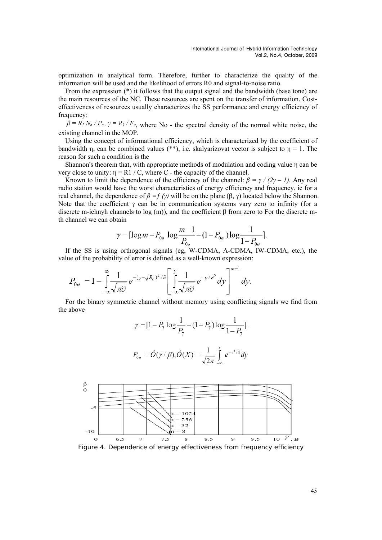optimization in analytical form. Therefore, further to characterize the quality of the information will be used and the likelihood of errors R0 and signal-to-noise ratio.

From the expression (\*) it follows that the output signal and the bandwidth (base tone) are the main resources of the NC. These resources are spent on the transfer of information. Costeffectiveness of resources usually characterizes the SS performance and energy efficiency of frequency:

 $\beta = R_1 N_o / P_c$ ,  $\gamma = R_1 / F_c$ , where No - the spectral density of the normal white noise, the existing channel in the MOP.

Using the concept of informational efficiency, which is characterized by the coefficient of bandwidth η, can be combined values (\*\*), i.e. skalyarizovat vector is subject to  $\eta = 1$ . The reason for such a condition is the

Shannon's theorem that, with appropriate methods of modulation and coding value η can be very close to unity:  $\eta = R1 / C$ , where C - the capacity of the channel.

Known to limit the dependence of the efficiency of the channel:  $\beta = \gamma / (2\gamma - 1)$ . Any real radio station would have the worst characteristics of energy efficiency and frequency, ie for a real channel, the dependence of  $β = f (γ)$  will be on the plane (β, γ) located below the Shannon. Note that the coefficient  $\gamma$  can be in communication systems vary zero to infinity (for a discrete m-ichnyh channels to log (m)), and the coefficient β from zero to For the discrete mth channel we can obtain

$$
\gamma = [\log m - P_{0\sigma} \log \frac{m-1}{P_{0\sigma}} - (1 - P_{0\sigma}) \log \frac{1}{1 - P_{0\sigma}}].
$$

If the SS is using orthogonal signals (eg, W-CDMA, A-CDMA, IW-CDMA, etc.), the value of the probability of error is defined as a well-known expression:

$$
P_{0\emptyset} = 1 - \int_{-\infty}^{\infty} \frac{1}{\sqrt{\pi \widehat{\mathcal{O}}}} e^{-(y-\sqrt{E_{\mathcal{C}}})^2/\widehat{\mathcal{O}}}\left[\int_{-\infty}^{y} \frac{1}{\sqrt{\pi \widehat{\mathcal{O}}}} e^{-y/\widehat{\mathcal{O}}^2} dy\right]^{m-1} dy.
$$

For the binary symmetric channel without memory using conflicting signals we find from the above

$$
\gamma = [1 - P_7 \log \frac{1}{P_7} - (1 - P_7) \log \frac{1}{1 - P_7}].
$$
  

$$
P_{0\phi} = \hat{O}(\gamma / \beta), \hat{O}(X) = \frac{1}{\sqrt{2\pi}} \int_{0}^{y} e^{-y^2/2} dy
$$



Figure 4. Dependence of energy effectiveness from frequency efficiency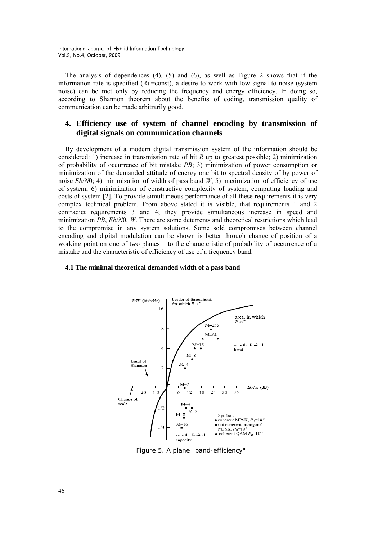The analysis of dependences  $(4)$ ,  $(5)$  and  $(6)$ , as well as Figure 2 shows that if the information rate is specified (Ru=const), a desire to work with low signal-to-noise (system noise) can be met only by reducing the frequency and energy efficiency. In doing so, according to Shannon theorem about the benefits of coding, transmission quality of communication can be made arbitrarily good.

## **4. Efficiency use of system of channel encoding by transmission of digital signals on communication channels**

By development of a modern digital transmission system of the information should be considered: 1) increase in transmission rate of bit *R* up to greatest possible; 2) minimization of probability of occurrence of bit mistake *PB*; 3) minimization of power consumption or minimization of the demanded attitude of energy one bit to spectral density of by power of noise  $Eb/N0$ ; 4) minimization of width of pass band  $W$ ; 5) maximization of efficiency of use of system; 6) minimization of constructive complexity of system, computing loading and costs of system [2]. To provide simultaneous performance of all these requirements it is very complex technical problem. From above stated it is visible, that requirements 1 and 2 contradict requirements 3 and 4; they provide simultaneous increase in speed and minimization *PB*, *Eb*/*N*0, *W*. There are some deterrents and theoretical restrictions which lead to the compromise in any system solutions. Some sold compromises between channel encoding and digital modulation can be shown is better through change of position of a working point on one of two planes – to the characteristic of probability of occurrence of a mistake and the characteristic of efficiency of use of a frequency band.

### **4.1 The minimal theoretical demanded width of a pass band**



Figure 5. A plane "band-efficiency"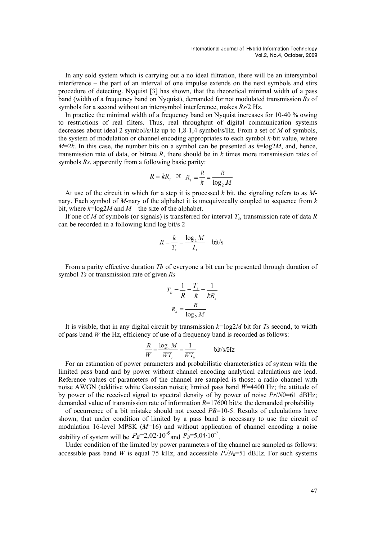In any sold system which is carrying out a no ideal filtration, there will be an intersymbol interference – the part of an interval of one impulse extends on the next symbols and stirs procedure of detecting. Nyquist [3] has shown, that the theoretical minimal width of a pass band (width of a frequency band on Nyquist), demanded for not modulated transmission *Rs* of symbols for a second without an intersymbol interference, makes *Rs*/2 Hz.

In practice the minimal width of a frequency band on Nyquist increases for 10-40 % owing to restrictions of real filters. Thus, real throughput of digital communication systems decreases about ideal 2 symbol/s/Hz up to 1,8-1,4 symbol/s/Hz. From a set of *M* of symbols, the system of modulation or channel encoding appropriates to each symbol *k-*bit value, where  $M=2k$ . In this case, the number bits on a symbol can be presented as  $k=\log 2M$ , and, hence, transmission rate of data, or bitrate *R*, there should be in *k* times more transmission rates of symbols *Rs*, apparently from a following basic parity:

$$
R = kR_s
$$
 or  $R_s = \frac{R}{k} = \frac{R}{\log_2 M}$ 

At use of the circuit in which for a step it is processed *k* bit, the signaling refers to as *M*nary. Each symbol of *M*-nary of the alphabet it is unequivocally coupled to sequence from *k*  bit, where  $k = \log 2M$  and  $M$  – the size of the alphabet.

If one of *M* of symbols (or signals) is transferred for interval *Тs*, transmission rate of data *R*  can be recorded in a following kind log bit/s 2

$$
R = \frac{k}{T_s} = \frac{\log_2 M}{T_s} \quad \text{bit/s}
$$

From a parity effective duration *Tb* of everyone a bit can be presented through duration of symbol *Тs* or transmission rate of given *Rs* 

$$
T_b = \frac{1}{R} = \frac{T_s}{k} = \frac{1}{kR_s}
$$

$$
R_s = \frac{R}{\log_2 M}
$$

It is visible, that in any digital circuit by transmission *k=*log2*M* bit for *Тs* second, to width of pass band *W* the Hz, efficiency of use of a frequency band is recorded as follows:

$$
\frac{R}{W} = \frac{\log_2 M}{WT_s} = \frac{1}{WT_b}
$$
 bit/s/Hz

For an estimation of power parameters and probabilistic characteristics of system with the limited pass band and by power without channel encoding analytical calculations are lead. Reference values of parameters of the channel are sampled is those: a radio channel with noise AWGN (additive white Gaussian noise); limited pass band *W*=4400 Hz; the attitude of by power of the received signal to spectral density of by power of noise *Pr*/*N*0=61 dBHz; demanded value of transmission rate of information  $R=17600$  bit/s; the demanded probability

of occurrence of a bit mistake should not exceed *PB*=10-5. Results of calculations have shown, that under condition of limited by a pass band is necessary to use the circuit of modulation 16-level MPSK (*М*=16) and without application of channel encoding a noise stability of system will be  $P_E=2.02 \cdot 10^{-6}$  and  $P_B=5.04 \cdot 10^{-7}$ .

Under condition of the limited by power parameters of the channel are sampled as follows: accessible pass band *W* is equal 75 kHz, and accessible  $P_r/N_0=51$  dBHz. For such systems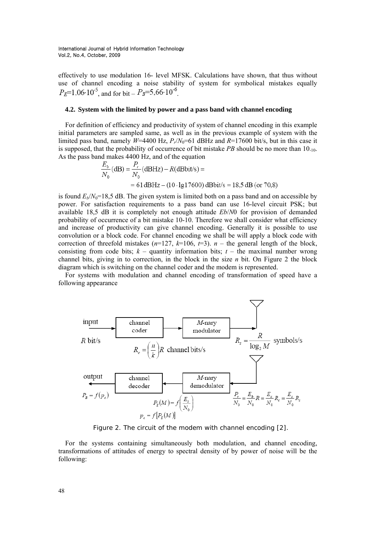effectively to use modulation 16- level MFSK. Calculations have shown, that thus without use of channel encoding a noise stability of system for symbolical mistakes equally  $P_E=1,06.10^{-5}$  and for bit –  $P_B=5,66.10^{-6}$ 

### **4.2. System with the limited by power and a pass band with channel encoding**

For definition of efficiency and productivity of system of channel encoding in this example initial parameters are sampled same, as well as in the previous example of system with the limited pass band, namely  $W=4400$  Hz,  $P_r/N_0=61$  dBHz and  $R=17600$  bit/s, but in this case it is supposed, that the probability of occurrence of bit mistake *PВ* should be no more than 10-10. As the pass band makes 4400 Hz, and of the equation

$$
\frac{E_b}{N_0} \text{(dB)} = \frac{P_r}{N_0} \text{(dBHz)} - R \text{(dBbit/s)} =
$$
  
= 61 \text{dBHz} - (10 \cdot \text{lg} 17600) \text{dBbit/s} = 18,5 \text{ dB (or 70,8)}

is found  $E_b/N_0=18.5$  dB. The given system is limited both on a pass band and on accessible by power. For satisfaction requirements to a pass band can use 16-level circuit PSK; but available 18,5 dB it is completely not enough attitude *Eb*/*N*0 for provision of demanded probability of occurrence of a bit mistake 10-10. Therefore we shall consider what efficiency and increase of productivity can give channel encoding. Generally it is possible to use convolution or a block code. For channel encoding we shall be will apply a block code with correction of threefold mistakes  $(n=127, k=106, t=3)$ . *n* – the general length of the block, consisting from code bits;  $k -$  quantity information bits;  $t -$  the maximal number wrong channel bits, giving in to correction, in the block in the size *n* bit. On Figure 2 the block diagram which is switching on the channel coder and the modem is represented.

For systems with modulation and channel encoding of transformation of speed have a following appearance



Figure 2. The circuit of the modem with channel encoding [2].

For the systems containing simultaneously both modulation, and channel encoding, transformations of attitudes of energy to spectral density of by power of noise will be the following: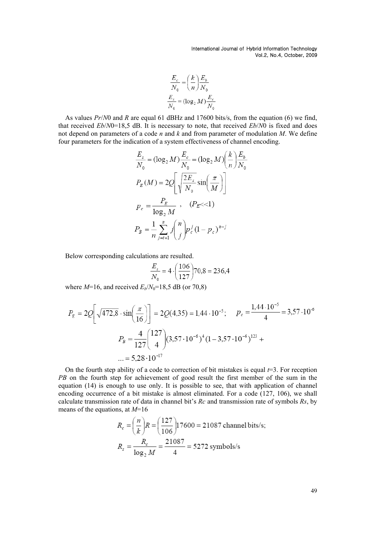$$
\frac{E_c}{N_0} = \left(\frac{k}{n}\right) \frac{E_b}{N_0}
$$

$$
\frac{E_s}{N_0} = (\log_2 M) \frac{E_c}{N_0}
$$

As values *Pr*/*N*0 and *R* are equal 61 dBHz and 17600 bits/s, from the equation (6) we find, that received *Eb*/*N*0=18,5 dB. It is necessary to note, that received *Eb*/*N*0 is fixed and does not depend on parameters of a code *n* and *k* and from parameter of modulation *M*. We define four parameters for the indication of a system effectiveness of channel encoding.

$$
\frac{E_s}{N_0} = (\log_2 M) \frac{E_c}{N_0} = (\log_2 M) \left(\frac{k}{n}\right) \frac{E_b}{N_0}
$$

$$
P_E(M) = 2Q \left[ \sqrt{\frac{2E_s}{N_0}} \sin\left(\frac{\pi}{M}\right) \right]
$$

$$
P_c = \frac{P_E}{\log_2 M}, \quad (P_E < 1)
$$

$$
P_B = \frac{1}{n} \sum_{j=t+1}^n j \binom{n}{j} p_c^j (1 - p_c)^{n-j}
$$

Below corresponding calculations are resulted.

$$
\frac{E_s}{N_0} = 4 \cdot \left(\frac{106}{127}\right) 70,8 = 236,4
$$

where  $M=16$ , and received  $E_b/N_0=18,5$  dB (or 70,8)

$$
P_E = 2Q\left[\sqrt{472.8} \cdot \sin\left(\frac{\pi}{16}\right)\right] = 2Q(4.35) = 1.44 \cdot 10^{-5}; \quad p_c = \frac{1.44 \cdot 10^{-5}}{4} = 3.57 \cdot 10^{-6}
$$
\n
$$
P_B = \frac{4}{127} \binom{127}{4} (3.57 \cdot 10^{-6})^4 (1 - 3.57 \cdot 10^{-6})^{123} + \dots = 5.28 \cdot 10^{-17}
$$

On the fourth step ability of a code to correction of bit mistakes is equal *t*=3. For reception *PB* on the fourth step for achievement of good result the first member of the sum in the equation (14) is enough to use only. It is possible to see, that with application of channel encoding occurrence of a bit mistake is almost eliminated. For a code (127, 106), we shall calculate transmission rate of data in channel bit's *Rс* and transmission rate of symbols *Rs*, by means of the equations, at *М*=16

$$
R_c = \left(\frac{n}{k}\right)R = \left(\frac{127}{106}\right)17600 = 21087 \text{ channel bits/s};
$$
  

$$
R_s = \frac{R_c}{\log_2 M} = \frac{21087}{4} = 5272 \text{ symbols/s}
$$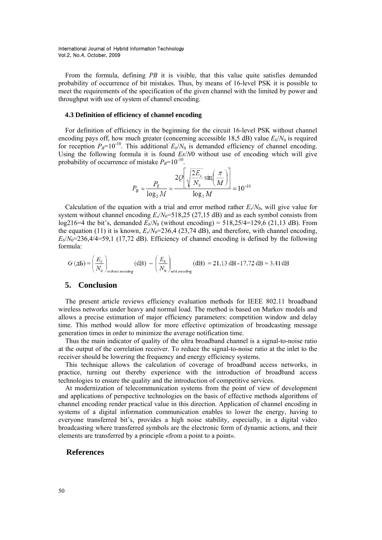From the formula, defining *PВ* it is visible, that this value quite satisfies demanded probability of occurrence of bit mistakes. Thus, by means of 16-level PSK it is possible to meet the requirements of the specification of the given channel with the limited by power and throughput with use of system of channel encoding.

### **4.3 Definition of efficiency of channel encoding**

For definition of efficiency in the beginning for the circuit 16-level PSK without channel encoding pays off, how much greater (concerning accessible 18,5 dB) value  $E_b/N_0$  is required for reception  $P_B=10^{-10}$ . This additional  $E_b/N_0$  is demanded efficiency of channel encoding. Using the following formula it is found *Es*/*N*0 without use of encoding which will give probability of occurrence of mistake  $P_B$ =10<sup>-10</sup>.

$$
P_B \approx \frac{P_E}{\log_2 M} \approx \frac{2Q \left[ \sqrt{\frac{2E_s}{N_0}} \sin \left( \frac{\pi}{M} \right) \right]}{\log_2 M} = 10^{-10}
$$

Calculation of the equation with a trial and error method rather  $E_s/N_0$ , will give value for system without channel encoding  $E_s/N_0 = 518,25$  (27,15 dB) and as each symbol consists from  $log216=4$  the bit's, demanded  $E_b/N_0$  (without encoding) = 518,25/4=129,6 (21,13 dB). From the equation (11) it is known,  $E_s/N_0$ =236,4 (23,74 dB), and therefore, with channel encoding,  $E_b/N_0$ =236,4/4=59,1 (17,72 dB). Efficiency of channel encoding is defined by the following formula:

$$
G\left(\text{AB}\right) = \left(\frac{E_b}{N_0}\right)_{\text{without encoding}}\left(\text{dB}\right) - \left(\frac{E_b}{N_0}\right)_{\text{with encoding}}\left(\text{dB}\right) = 21,13\text{ dB} - 17,72\text{ dB} = 3,41\text{ dB}
$$

## **5. Conclusion**

The present article reviews efficiency evaluation methods for IEEE 802.11 broadband wireless networks under heavy and normal load. The method is based on Markov models and allows a precise estimation of major efficiency parameters: competition window and delay time. This method would allow for more effective optimization of broadcasting message generation times in order to minimize the average notification time.

Thus the main indicator of quality of the ultra broadband channel is a signal-to-noise ratio at the output of the correlation receiver. To reduce the signal-to-noise ratio at the inlet to the receiver should be lowering the frequency and energy efficiency systems.

This technique allows the calculation of coverage of broadband access networks, in practice, turning out thereby experience with the introduction of broadband access technologies to ensure the quality and the introduction of competitive services.

At modernization of telecommunication systems from the point of view of development and applications of perspective technologies on the basis of effective methods algorithms of channel encoding render practical value in this direction. Application of channel encoding in systems of a digital information communication enables to lower the energy, having to everyone transferred bit's, provides a high noise stability, especially, in a digital video broadcasting where transferred symbols are the electronic form of dynamic actions, and their elements are transferred by a principle «from a point to a point».

## **References**